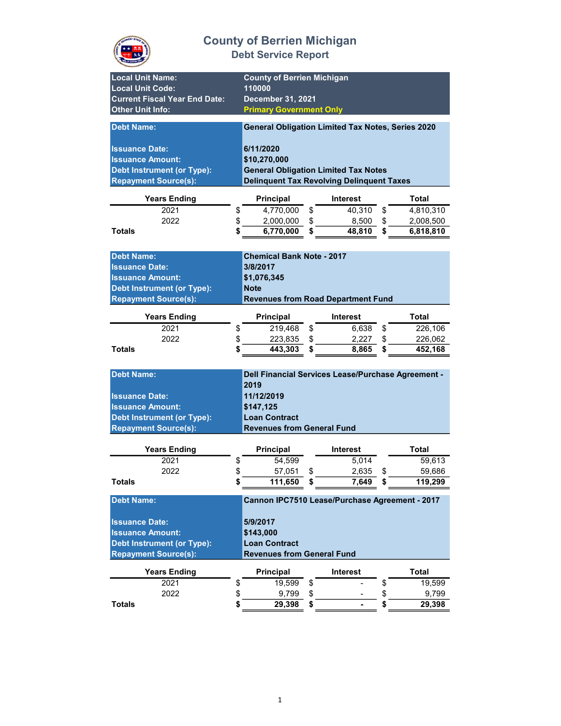

| <b>Local Unit Name:</b><br><b>Local Unit Code:</b><br><b>Current Fiscal Year End Date:</b><br><b>Other Unit Info:</b> | <b>County of Berrien Michigan</b><br>110000<br>December 31, 2021<br><b>Primary Government Only</b> |                                                          |                        |  |  |  |
|-----------------------------------------------------------------------------------------------------------------------|----------------------------------------------------------------------------------------------------|----------------------------------------------------------|------------------------|--|--|--|
| <b>Debt Name:</b>                                                                                                     |                                                                                                    | <b>General Obligation Limited Tax Notes, Series 2020</b> |                        |  |  |  |
| <b>Issuance Date:</b>                                                                                                 | 6/11/2020                                                                                          |                                                          |                        |  |  |  |
| <b>Issuance Amount:</b>                                                                                               | \$10,270,000                                                                                       |                                                          |                        |  |  |  |
| <b>Debt Instrument (or Type):</b>                                                                                     |                                                                                                    | <b>General Obligation Limited Tax Notes</b>              |                        |  |  |  |
| <b>Repayment Source(s):</b>                                                                                           |                                                                                                    | <b>Delinquent Tax Revolving Delinquent Taxes</b>         |                        |  |  |  |
| <b>Years Ending</b>                                                                                                   | <b>Principal</b>                                                                                   | <b>Interest</b>                                          | Total                  |  |  |  |
| 2021                                                                                                                  | 4,770,000<br>\$                                                                                    | \$<br>40,310                                             | \$<br>4,810,310        |  |  |  |
| 2022                                                                                                                  | \$<br>2,000,000                                                                                    | \$<br>8,500                                              | \$<br>2,008,500        |  |  |  |
| <b>Totals</b>                                                                                                         | 6,770,000<br>\$                                                                                    | \$<br>48,810                                             | \$<br>6,818,810        |  |  |  |
|                                                                                                                       |                                                                                                    |                                                          |                        |  |  |  |
| <b>Debt Name:</b>                                                                                                     | <b>Chemical Bank Note - 2017</b>                                                                   |                                                          |                        |  |  |  |
| <b>Issuance Date:</b>                                                                                                 | 3/8/2017                                                                                           |                                                          |                        |  |  |  |
| <b>Issuance Amount:</b>                                                                                               | \$1,076,345                                                                                        |                                                          |                        |  |  |  |
| <b>Debt Instrument (or Type):</b>                                                                                     | <b>Note</b>                                                                                        |                                                          |                        |  |  |  |
| <b>Repayment Source(s):</b>                                                                                           |                                                                                                    | <b>Revenues from Road Department Fund</b>                |                        |  |  |  |
| <b>Years Ending</b>                                                                                                   | <b>Principal</b>                                                                                   | <b>Interest</b>                                          | Total                  |  |  |  |
| 2021                                                                                                                  | 219,468<br>\$                                                                                      | \$<br>6,638                                              | \$<br>226,106          |  |  |  |
| 2022                                                                                                                  | \$<br>223,835                                                                                      | \$<br>2,227                                              | \$<br>226,062          |  |  |  |
| <b>Totals</b>                                                                                                         | \$<br>443,303                                                                                      | \$<br>8,865                                              | \$<br>452,168          |  |  |  |
|                                                                                                                       |                                                                                                    |                                                          |                        |  |  |  |
| <b>Debt Name:</b>                                                                                                     |                                                                                                    | Dell Financial Services Lease/Purchase Agreement -       |                        |  |  |  |
|                                                                                                                       | 2019                                                                                               |                                                          |                        |  |  |  |
| <b>Issuance Date:</b>                                                                                                 | 11/12/2019                                                                                         |                                                          |                        |  |  |  |
| <b>Issuance Amount:</b>                                                                                               | \$147,125                                                                                          |                                                          |                        |  |  |  |
| <b>Debt Instrument (or Type):</b>                                                                                     | <b>Loan Contract</b>                                                                               |                                                          |                        |  |  |  |
| <b>Repayment Source(s):</b>                                                                                           | <b>Revenues from General Fund</b>                                                                  |                                                          |                        |  |  |  |
|                                                                                                                       |                                                                                                    |                                                          |                        |  |  |  |
| <b>Years Ending</b><br>2021                                                                                           | Principal<br>54.599                                                                                | <b>Interest</b><br>5.014                                 | Total<br>59,613        |  |  |  |
| 2022                                                                                                                  | \$<br>\$                                                                                           |                                                          | \$                     |  |  |  |
| Totals                                                                                                                | 57,051<br>\$<br>111,650                                                                            | 2,635<br>\$<br>7,649<br>5                                | 59,686<br>119,299<br>Þ |  |  |  |
|                                                                                                                       |                                                                                                    |                                                          |                        |  |  |  |
| <b>Debt Name:</b>                                                                                                     |                                                                                                    | Cannon IPC7510 Lease/Purchase Agreement - 2017           |                        |  |  |  |
|                                                                                                                       | 5/9/2017                                                                                           |                                                          |                        |  |  |  |
| <b>Issuance Date:</b><br><b>Issuance Amount:</b>                                                                      | \$143,000                                                                                          |                                                          |                        |  |  |  |
| <b>Debt Instrument (or Type):</b>                                                                                     | <b>Loan Contract</b>                                                                               |                                                          |                        |  |  |  |
| <b>Repayment Source(s):</b>                                                                                           | <b>Revenues from General Fund</b>                                                                  |                                                          |                        |  |  |  |
| <b>Years Ending</b>                                                                                                   | Principal                                                                                          | <b>Interest</b>                                          | <b>Total</b>           |  |  |  |
| 2021                                                                                                                  | \$<br>19,599                                                                                       | \$                                                       | \$<br>19,599           |  |  |  |
| 2022                                                                                                                  | \$<br>9,799                                                                                        | \$                                                       | \$<br>9,799            |  |  |  |
| <b>Totals</b>                                                                                                         | 29,398<br>\$                                                                                       | \$                                                       | \$<br>29,398           |  |  |  |
|                                                                                                                       |                                                                                                    |                                                          |                        |  |  |  |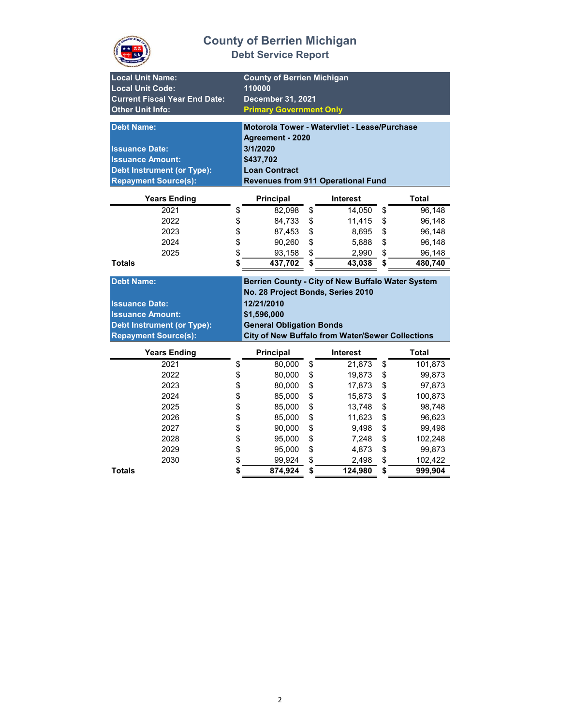

| <b>County of Berrien Michigan</b><br><b>Local Unit Name:</b><br><b>Local Unit Code:</b><br>110000<br><b>Current Fiscal Year End Date:</b><br>December 31, 2021<br><b>Other Unit Info:</b><br><b>Primary Government Only</b><br>Motorola Tower - Watervliet - Lease/Purchase<br><b>Debt Name:</b><br>Agreement - 2020<br>3/1/2020<br><b>Issuance Date:</b><br><b>Issuance Amount:</b><br>\$437,702<br><b>Debt Instrument (or Type):</b><br><b>Loan Contract</b><br><b>Repayment Source(s):</b><br><b>Revenues from 911 Operational Fund</b><br><b>Total</b><br><b>Years Ending</b><br>Principal<br><b>Interest</b><br>2021<br>\$<br>\$<br>14,050<br>\$<br>96,148<br>82,098<br>\$<br>2022<br>\$<br>\$<br>84,733<br>11,415<br>96,148<br>\$<br>\$<br>\$<br>2023<br>87,453<br>8,695<br>96,148<br>\$<br>\$<br>\$<br>96,148<br>2024<br>90,260<br>5,888<br>\$<br>\$<br>2025<br>\$<br>93,158<br>96,148<br>2,990<br>\$<br>437,702<br>\$<br><b>Totals</b><br>43,038<br>\$<br>480,740<br><b>Debt Name:</b><br>Berrien County - City of New Buffalo Water System<br>No. 28 Project Bonds, Series 2010<br>12/21/2010<br><b>Issuance Date:</b><br><b>Issuance Amount:</b><br>\$1,596,000<br><b>General Obligation Bonds</b><br><b>Debt Instrument (or Type):</b><br><b>Repayment Source(s):</b><br><b>City of New Buffalo from Water/Sewer Collections</b><br><b>Years Ending</b><br>Principal<br><b>Interest</b><br><b>Total</b><br>2021<br>\$<br>80,000<br>\$<br>21,873<br>\$<br>101,873<br>\$<br>2022<br>\$<br>\$<br>80,000<br>19,873<br>99,873<br>\$<br>\$<br>\$<br>2023<br>17,873<br>97,873<br>80,000<br>\$<br>\$<br>\$<br>2024<br>85,000<br>15,873<br>100,873<br>\$<br>\$<br>\$<br>2025<br>13,748<br>98,748<br>85,000<br>\$<br>\$<br>\$<br>2026<br>85,000<br>11,623<br>96,623<br>\$<br>\$<br>\$<br>2027<br>90,000<br>9,498<br>99,498<br>\$<br>\$<br>\$<br>2028<br>7,248<br>102,248<br>95,000<br>\$<br>\$<br>\$<br>2029<br>95,000<br>4,873<br>99,873<br>\$<br>\$<br>\$<br>2030<br>99,924<br>102,422<br>2,498<br>\$<br>\$<br>\$<br><b>Totals</b><br>874,924<br>124,980<br>999,904 |  |  |  |  |
|------------------------------------------------------------------------------------------------------------------------------------------------------------------------------------------------------------------------------------------------------------------------------------------------------------------------------------------------------------------------------------------------------------------------------------------------------------------------------------------------------------------------------------------------------------------------------------------------------------------------------------------------------------------------------------------------------------------------------------------------------------------------------------------------------------------------------------------------------------------------------------------------------------------------------------------------------------------------------------------------------------------------------------------------------------------------------------------------------------------------------------------------------------------------------------------------------------------------------------------------------------------------------------------------------------------------------------------------------------------------------------------------------------------------------------------------------------------------------------------------------------------------------------------------------------------------------------------------------------------------------------------------------------------------------------------------------------------------------------------------------------------------------------------------------------------------------------------------------------------------------------------------------------------------------------------------------------------------------------------------------------------------------------------------------------------------|--|--|--|--|
|                                                                                                                                                                                                                                                                                                                                                                                                                                                                                                                                                                                                                                                                                                                                                                                                                                                                                                                                                                                                                                                                                                                                                                                                                                                                                                                                                                                                                                                                                                                                                                                                                                                                                                                                                                                                                                                                                                                                                                                                                                                                        |  |  |  |  |
|                                                                                                                                                                                                                                                                                                                                                                                                                                                                                                                                                                                                                                                                                                                                                                                                                                                                                                                                                                                                                                                                                                                                                                                                                                                                                                                                                                                                                                                                                                                                                                                                                                                                                                                                                                                                                                                                                                                                                                                                                                                                        |  |  |  |  |
|                                                                                                                                                                                                                                                                                                                                                                                                                                                                                                                                                                                                                                                                                                                                                                                                                                                                                                                                                                                                                                                                                                                                                                                                                                                                                                                                                                                                                                                                                                                                                                                                                                                                                                                                                                                                                                                                                                                                                                                                                                                                        |  |  |  |  |
|                                                                                                                                                                                                                                                                                                                                                                                                                                                                                                                                                                                                                                                                                                                                                                                                                                                                                                                                                                                                                                                                                                                                                                                                                                                                                                                                                                                                                                                                                                                                                                                                                                                                                                                                                                                                                                                                                                                                                                                                                                                                        |  |  |  |  |
|                                                                                                                                                                                                                                                                                                                                                                                                                                                                                                                                                                                                                                                                                                                                                                                                                                                                                                                                                                                                                                                                                                                                                                                                                                                                                                                                                                                                                                                                                                                                                                                                                                                                                                                                                                                                                                                                                                                                                                                                                                                                        |  |  |  |  |
|                                                                                                                                                                                                                                                                                                                                                                                                                                                                                                                                                                                                                                                                                                                                                                                                                                                                                                                                                                                                                                                                                                                                                                                                                                                                                                                                                                                                                                                                                                                                                                                                                                                                                                                                                                                                                                                                                                                                                                                                                                                                        |  |  |  |  |
|                                                                                                                                                                                                                                                                                                                                                                                                                                                                                                                                                                                                                                                                                                                                                                                                                                                                                                                                                                                                                                                                                                                                                                                                                                                                                                                                                                                                                                                                                                                                                                                                                                                                                                                                                                                                                                                                                                                                                                                                                                                                        |  |  |  |  |
|                                                                                                                                                                                                                                                                                                                                                                                                                                                                                                                                                                                                                                                                                                                                                                                                                                                                                                                                                                                                                                                                                                                                                                                                                                                                                                                                                                                                                                                                                                                                                                                                                                                                                                                                                                                                                                                                                                                                                                                                                                                                        |  |  |  |  |
|                                                                                                                                                                                                                                                                                                                                                                                                                                                                                                                                                                                                                                                                                                                                                                                                                                                                                                                                                                                                                                                                                                                                                                                                                                                                                                                                                                                                                                                                                                                                                                                                                                                                                                                                                                                                                                                                                                                                                                                                                                                                        |  |  |  |  |
|                                                                                                                                                                                                                                                                                                                                                                                                                                                                                                                                                                                                                                                                                                                                                                                                                                                                                                                                                                                                                                                                                                                                                                                                                                                                                                                                                                                                                                                                                                                                                                                                                                                                                                                                                                                                                                                                                                                                                                                                                                                                        |  |  |  |  |
|                                                                                                                                                                                                                                                                                                                                                                                                                                                                                                                                                                                                                                                                                                                                                                                                                                                                                                                                                                                                                                                                                                                                                                                                                                                                                                                                                                                                                                                                                                                                                                                                                                                                                                                                                                                                                                                                                                                                                                                                                                                                        |  |  |  |  |
|                                                                                                                                                                                                                                                                                                                                                                                                                                                                                                                                                                                                                                                                                                                                                                                                                                                                                                                                                                                                                                                                                                                                                                                                                                                                                                                                                                                                                                                                                                                                                                                                                                                                                                                                                                                                                                                                                                                                                                                                                                                                        |  |  |  |  |
|                                                                                                                                                                                                                                                                                                                                                                                                                                                                                                                                                                                                                                                                                                                                                                                                                                                                                                                                                                                                                                                                                                                                                                                                                                                                                                                                                                                                                                                                                                                                                                                                                                                                                                                                                                                                                                                                                                                                                                                                                                                                        |  |  |  |  |
|                                                                                                                                                                                                                                                                                                                                                                                                                                                                                                                                                                                                                                                                                                                                                                                                                                                                                                                                                                                                                                                                                                                                                                                                                                                                                                                                                                                                                                                                                                                                                                                                                                                                                                                                                                                                                                                                                                                                                                                                                                                                        |  |  |  |  |
|                                                                                                                                                                                                                                                                                                                                                                                                                                                                                                                                                                                                                                                                                                                                                                                                                                                                                                                                                                                                                                                                                                                                                                                                                                                                                                                                                                                                                                                                                                                                                                                                                                                                                                                                                                                                                                                                                                                                                                                                                                                                        |  |  |  |  |
|                                                                                                                                                                                                                                                                                                                                                                                                                                                                                                                                                                                                                                                                                                                                                                                                                                                                                                                                                                                                                                                                                                                                                                                                                                                                                                                                                                                                                                                                                                                                                                                                                                                                                                                                                                                                                                                                                                                                                                                                                                                                        |  |  |  |  |
|                                                                                                                                                                                                                                                                                                                                                                                                                                                                                                                                                                                                                                                                                                                                                                                                                                                                                                                                                                                                                                                                                                                                                                                                                                                                                                                                                                                                                                                                                                                                                                                                                                                                                                                                                                                                                                                                                                                                                                                                                                                                        |  |  |  |  |
|                                                                                                                                                                                                                                                                                                                                                                                                                                                                                                                                                                                                                                                                                                                                                                                                                                                                                                                                                                                                                                                                                                                                                                                                                                                                                                                                                                                                                                                                                                                                                                                                                                                                                                                                                                                                                                                                                                                                                                                                                                                                        |  |  |  |  |
|                                                                                                                                                                                                                                                                                                                                                                                                                                                                                                                                                                                                                                                                                                                                                                                                                                                                                                                                                                                                                                                                                                                                                                                                                                                                                                                                                                                                                                                                                                                                                                                                                                                                                                                                                                                                                                                                                                                                                                                                                                                                        |  |  |  |  |
|                                                                                                                                                                                                                                                                                                                                                                                                                                                                                                                                                                                                                                                                                                                                                                                                                                                                                                                                                                                                                                                                                                                                                                                                                                                                                                                                                                                                                                                                                                                                                                                                                                                                                                                                                                                                                                                                                                                                                                                                                                                                        |  |  |  |  |
|                                                                                                                                                                                                                                                                                                                                                                                                                                                                                                                                                                                                                                                                                                                                                                                                                                                                                                                                                                                                                                                                                                                                                                                                                                                                                                                                                                                                                                                                                                                                                                                                                                                                                                                                                                                                                                                                                                                                                                                                                                                                        |  |  |  |  |
|                                                                                                                                                                                                                                                                                                                                                                                                                                                                                                                                                                                                                                                                                                                                                                                                                                                                                                                                                                                                                                                                                                                                                                                                                                                                                                                                                                                                                                                                                                                                                                                                                                                                                                                                                                                                                                                                                                                                                                                                                                                                        |  |  |  |  |
|                                                                                                                                                                                                                                                                                                                                                                                                                                                                                                                                                                                                                                                                                                                                                                                                                                                                                                                                                                                                                                                                                                                                                                                                                                                                                                                                                                                                                                                                                                                                                                                                                                                                                                                                                                                                                                                                                                                                                                                                                                                                        |  |  |  |  |
|                                                                                                                                                                                                                                                                                                                                                                                                                                                                                                                                                                                                                                                                                                                                                                                                                                                                                                                                                                                                                                                                                                                                                                                                                                                                                                                                                                                                                                                                                                                                                                                                                                                                                                                                                                                                                                                                                                                                                                                                                                                                        |  |  |  |  |
|                                                                                                                                                                                                                                                                                                                                                                                                                                                                                                                                                                                                                                                                                                                                                                                                                                                                                                                                                                                                                                                                                                                                                                                                                                                                                                                                                                                                                                                                                                                                                                                                                                                                                                                                                                                                                                                                                                                                                                                                                                                                        |  |  |  |  |
|                                                                                                                                                                                                                                                                                                                                                                                                                                                                                                                                                                                                                                                                                                                                                                                                                                                                                                                                                                                                                                                                                                                                                                                                                                                                                                                                                                                                                                                                                                                                                                                                                                                                                                                                                                                                                                                                                                                                                                                                                                                                        |  |  |  |  |
|                                                                                                                                                                                                                                                                                                                                                                                                                                                                                                                                                                                                                                                                                                                                                                                                                                                                                                                                                                                                                                                                                                                                                                                                                                                                                                                                                                                                                                                                                                                                                                                                                                                                                                                                                                                                                                                                                                                                                                                                                                                                        |  |  |  |  |
|                                                                                                                                                                                                                                                                                                                                                                                                                                                                                                                                                                                                                                                                                                                                                                                                                                                                                                                                                                                                                                                                                                                                                                                                                                                                                                                                                                                                                                                                                                                                                                                                                                                                                                                                                                                                                                                                                                                                                                                                                                                                        |  |  |  |  |
|                                                                                                                                                                                                                                                                                                                                                                                                                                                                                                                                                                                                                                                                                                                                                                                                                                                                                                                                                                                                                                                                                                                                                                                                                                                                                                                                                                                                                                                                                                                                                                                                                                                                                                                                                                                                                                                                                                                                                                                                                                                                        |  |  |  |  |
|                                                                                                                                                                                                                                                                                                                                                                                                                                                                                                                                                                                                                                                                                                                                                                                                                                                                                                                                                                                                                                                                                                                                                                                                                                                                                                                                                                                                                                                                                                                                                                                                                                                                                                                                                                                                                                                                                                                                                                                                                                                                        |  |  |  |  |
|                                                                                                                                                                                                                                                                                                                                                                                                                                                                                                                                                                                                                                                                                                                                                                                                                                                                                                                                                                                                                                                                                                                                                                                                                                                                                                                                                                                                                                                                                                                                                                                                                                                                                                                                                                                                                                                                                                                                                                                                                                                                        |  |  |  |  |
|                                                                                                                                                                                                                                                                                                                                                                                                                                                                                                                                                                                                                                                                                                                                                                                                                                                                                                                                                                                                                                                                                                                                                                                                                                                                                                                                                                                                                                                                                                                                                                                                                                                                                                                                                                                                                                                                                                                                                                                                                                                                        |  |  |  |  |
|                                                                                                                                                                                                                                                                                                                                                                                                                                                                                                                                                                                                                                                                                                                                                                                                                                                                                                                                                                                                                                                                                                                                                                                                                                                                                                                                                                                                                                                                                                                                                                                                                                                                                                                                                                                                                                                                                                                                                                                                                                                                        |  |  |  |  |
|                                                                                                                                                                                                                                                                                                                                                                                                                                                                                                                                                                                                                                                                                                                                                                                                                                                                                                                                                                                                                                                                                                                                                                                                                                                                                                                                                                                                                                                                                                                                                                                                                                                                                                                                                                                                                                                                                                                                                                                                                                                                        |  |  |  |  |
|                                                                                                                                                                                                                                                                                                                                                                                                                                                                                                                                                                                                                                                                                                                                                                                                                                                                                                                                                                                                                                                                                                                                                                                                                                                                                                                                                                                                                                                                                                                                                                                                                                                                                                                                                                                                                                                                                                                                                                                                                                                                        |  |  |  |  |
|                                                                                                                                                                                                                                                                                                                                                                                                                                                                                                                                                                                                                                                                                                                                                                                                                                                                                                                                                                                                                                                                                                                                                                                                                                                                                                                                                                                                                                                                                                                                                                                                                                                                                                                                                                                                                                                                                                                                                                                                                                                                        |  |  |  |  |
|                                                                                                                                                                                                                                                                                                                                                                                                                                                                                                                                                                                                                                                                                                                                                                                                                                                                                                                                                                                                                                                                                                                                                                                                                                                                                                                                                                                                                                                                                                                                                                                                                                                                                                                                                                                                                                                                                                                                                                                                                                                                        |  |  |  |  |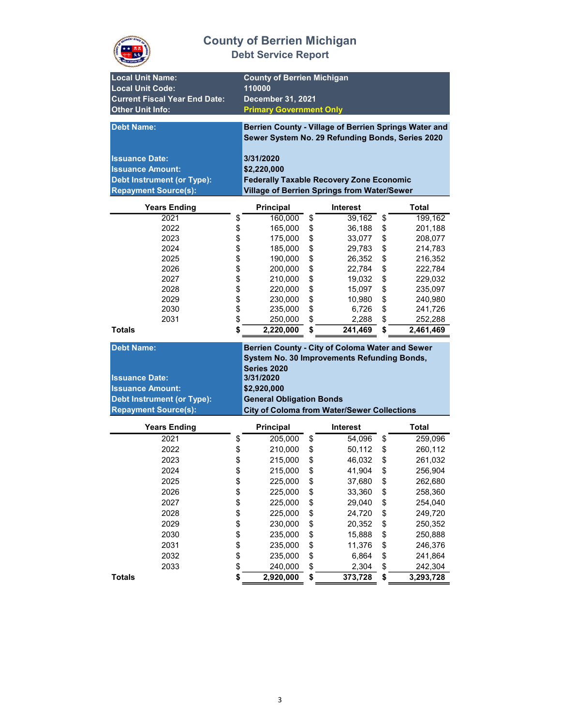

| <b>Local Unit Name:</b>              |                        | <b>County of Berrien Michigan</b>                     |      |                 |                 |
|--------------------------------------|------------------------|-------------------------------------------------------|------|-----------------|-----------------|
| <b>Local Unit Code:</b>              |                        | 110000                                                |      |                 |                 |
| <b>Current Fiscal Year End Date:</b> |                        | December 31, 2021                                     |      |                 |                 |
| <b>Other Unit Info:</b>              |                        | <b>Primary Government Only</b>                        |      |                 |                 |
|                                      |                        |                                                       |      |                 |                 |
| <b>Debt Name:</b>                    |                        | Berrien County - Village of Berrien Springs Water and |      |                 |                 |
|                                      |                        | Sewer System No. 29 Refunding Bonds, Series 2020      |      |                 |                 |
|                                      |                        |                                                       |      |                 |                 |
| <b>Issuance Date:</b>                |                        | 3/31/2020                                             |      |                 |                 |
| <b>Issuance Amount:</b>              |                        | \$2,220,000                                           |      |                 |                 |
| <b>Debt Instrument (or Type):</b>    |                        | <b>Federally Taxable Recovery Zone Economic</b>       |      |                 |                 |
| <b>Repayment Source(s):</b>          |                        | <b>Village of Berrien Springs from Water/Sewer</b>    |      |                 |                 |
| <b>Years Ending</b>                  |                        | Principal                                             |      | <b>Interest</b> | <b>Total</b>    |
| 2021                                 | \$                     | 160,000                                               | \$   | 39,162          | \$<br>199,162   |
| 2022                                 | \$                     | 165,000                                               | \$   | 36,188          | \$<br>201,188   |
| 2023                                 |                        | 175,000                                               | \$   | 33,077          | \$<br>208,077   |
| 2024                                 | \$\$\$\$\$\$           | 185,000                                               | \$   | 29,783          | \$<br>214,783   |
| 2025                                 |                        | 190,000                                               | \$   | 26,352          | \$<br>216,352   |
| 2026                                 |                        | 200,000                                               | \$   | 22,784          | \$<br>222,784   |
| 2027                                 |                        | 210,000                                               | \$   | 19,032          | \$<br>229,032   |
| 2028                                 |                        | 220,000                                               | \$   | 15,097          | \$<br>235,097   |
| 2029                                 |                        | 230,000                                               | \$   | 10,980          | \$<br>240,980   |
| 2030                                 | \$                     | 235,000                                               | \$   | 6,726           | \$<br>241,726   |
| 2031                                 | \$                     | 250,000                                               | \$   | 2,288           | \$<br>252,288   |
| <b>Totals</b>                        | \$                     | 2,220,000                                             | \$   | 241,469         | \$<br>2,461,469 |
| <b>Debt Name:</b>                    |                        | Berrien County - City of Coloma Water and Sewer       |      |                 |                 |
|                                      |                        | System No. 30 Improvements Refunding Bonds,           |      |                 |                 |
|                                      |                        |                                                       |      |                 |                 |
|                                      |                        |                                                       |      |                 |                 |
| <b>Issuance Date:</b>                |                        | <b>Series 2020</b><br>3/31/2020                       |      |                 |                 |
|                                      |                        |                                                       |      |                 |                 |
| <b>Issuance Amount:</b>              |                        | \$2,920,000                                           |      |                 |                 |
| Debt Instrument (or Type):           |                        | <b>General Obligation Bonds</b>                       |      |                 |                 |
| <b>Repayment Source(s):</b>          |                        | <b>City of Coloma from Water/Sewer Collections</b>    |      |                 |                 |
| <b>Years Ending</b>                  |                        | <b>Principal</b>                                      |      | <b>Interest</b> | Total           |
| 2021                                 | \$                     | 205,000                                               | \$   | 54,096          | \$<br>259,096   |
| 2022                                 | \$                     | 210,000                                               | \$   | 50,112          | \$<br>260,112   |
| 2023                                 | \$                     | 215,000                                               | \$   | 46,032          | \$<br>261,032   |
| 2024                                 | \$                     | 215,000                                               | \$   | 41,904          | \$<br>256,904   |
| 2025                                 | \$                     | 225,000                                               | \$   | 37,680          | \$<br>262,680   |
| 2026                                 |                        | 225,000                                               | \$   | 33,360          | \$<br>258,360   |
| 2027                                 |                        | 225,000                                               | \$   | 29,040          | \$<br>254,040   |
| 2028                                 |                        | 225,000                                               |      | 24,720          | \$<br>249,720   |
| 2029                                 |                        | 230,000                                               |      | 20,352          | \$<br>250,352   |
| 2030                                 |                        | 235,000                                               | \$\$ | 15,888          | \$<br>250,888   |
| 2031                                 |                        | 235,000                                               | \$   | 11,376          | \$<br>246,376   |
| 2032                                 |                        | 235,000                                               | \$   | 6,864           | \$<br>241,864   |
| 2033                                 | <b>8 8 9 8 9 9 9 9</b> | 240,000                                               | \$   | 2,304           | \$<br>242,304   |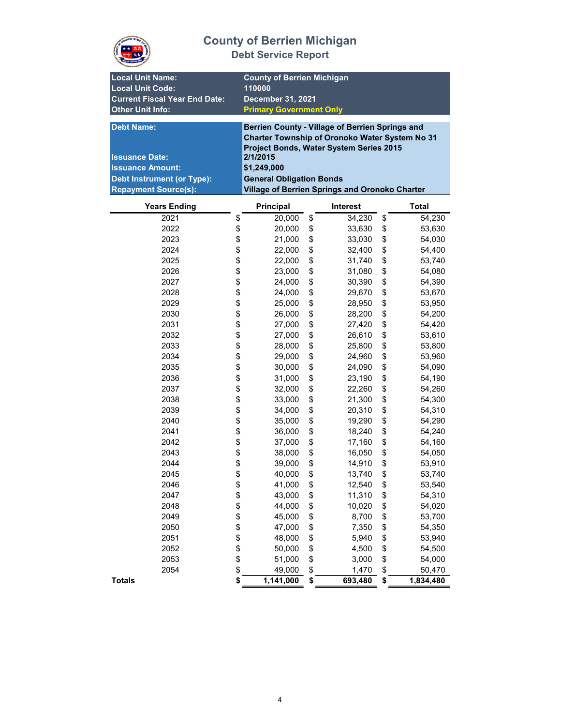

| <b>Local Unit Name:</b><br><b>Local Unit Code:</b><br><b>Current Fiscal Year End Date:</b><br><b>Other Unit Info:</b>                     |                  | <b>County of Berrien Michigan</b><br>110000<br>December 31, 2021<br><b>Primary Government Only</b>                                                                                                                                                           |    |                 |    |              |
|-------------------------------------------------------------------------------------------------------------------------------------------|------------------|--------------------------------------------------------------------------------------------------------------------------------------------------------------------------------------------------------------------------------------------------------------|----|-----------------|----|--------------|
| <b>Debt Name:</b><br><b>Issuance Date:</b><br><b>Issuance Amount:</b><br><b>Debt Instrument (or Type):</b><br><b>Repayment Source(s):</b> |                  | Berrien County - Village of Berrien Springs and<br>Charter Township of Oronoko Water System No 31<br>Project Bonds, Water System Series 2015<br>2/1/2015<br>\$1,249,000<br><b>General Obligation Bonds</b><br>Village of Berrien Springs and Oronoko Charter |    |                 |    |              |
| <b>Years Ending</b>                                                                                                                       |                  | Principal                                                                                                                                                                                                                                                    |    | <b>Interest</b> |    | <b>Total</b> |
| 2021                                                                                                                                      | \$               | 20,000                                                                                                                                                                                                                                                       | \$ | 34,230          | \$ | 54,230       |
| 2022                                                                                                                                      | \$               | 20,000                                                                                                                                                                                                                                                       | \$ | 33,630          | \$ | 53,630       |
| 2023                                                                                                                                      | \$               | 21,000                                                                                                                                                                                                                                                       | \$ | 33,030          | \$ | 54,030       |
| 2024                                                                                                                                      |                  | 22,000                                                                                                                                                                                                                                                       | \$ | 32,400          | \$ | 54,400       |
| 2025                                                                                                                                      | \$\$             | 22,000                                                                                                                                                                                                                                                       | \$ | 31,740          | \$ | 53,740       |
| 2026                                                                                                                                      |                  | 23,000                                                                                                                                                                                                                                                       | \$ | 31,080          | \$ | 54,080       |
| 2027                                                                                                                                      | \$               | 24,000                                                                                                                                                                                                                                                       | \$ | 30,390          | \$ | 54,390       |
| 2028                                                                                                                                      | \$               | 24,000                                                                                                                                                                                                                                                       | \$ | 29,670          | \$ | 53,670       |
| 2029                                                                                                                                      | \$               | 25,000                                                                                                                                                                                                                                                       | \$ | 28,950          | \$ | 53,950       |
| 2030                                                                                                                                      | \$               | 26,000                                                                                                                                                                                                                                                       | \$ | 28,200          | \$ | 54,200       |
| 2031                                                                                                                                      |                  | 27,000                                                                                                                                                                                                                                                       |    |                 |    |              |
|                                                                                                                                           | \$               |                                                                                                                                                                                                                                                              | \$ | 27,420          | \$ | 54,420       |
| 2032                                                                                                                                      | \$               | 27,000                                                                                                                                                                                                                                                       | \$ | 26,610          | \$ | 53,610       |
| 2033                                                                                                                                      | \$               | 28,000                                                                                                                                                                                                                                                       | \$ | 25,800          | \$ | 53,800       |
| 2034                                                                                                                                      | \$               | 29,000                                                                                                                                                                                                                                                       | \$ | 24,960          | \$ | 53,960       |
| 2035                                                                                                                                      | \$               | 30,000                                                                                                                                                                                                                                                       | \$ | 24,090          | \$ | 54,090       |
| 2036                                                                                                                                      | \$               | 31,000                                                                                                                                                                                                                                                       | \$ | 23,190          | \$ | 54,190       |
| 2037                                                                                                                                      |                  | 32,000                                                                                                                                                                                                                                                       | \$ | 22,260          | \$ | 54,260       |
| 2038                                                                                                                                      |                  | 33,000                                                                                                                                                                                                                                                       | \$ | 21,300          | \$ | 54,300       |
| 2039                                                                                                                                      |                  | 34,000                                                                                                                                                                                                                                                       | \$ | 20,310          | \$ | 54,310       |
| 2040                                                                                                                                      | <b>888888</b>    | 35,000                                                                                                                                                                                                                                                       | \$ | 19,290          | \$ | 54,290       |
| 2041                                                                                                                                      |                  | 36,000                                                                                                                                                                                                                                                       | \$ | 18,240          | \$ | 54,240       |
| 2042                                                                                                                                      |                  | 37,000                                                                                                                                                                                                                                                       | \$ | 17,160          | \$ | 54,160       |
| 2043                                                                                                                                      | \$               | 38,000                                                                                                                                                                                                                                                       | \$ | 16,050          | \$ | 54,050       |
| 2044                                                                                                                                      | \$               | 39,000                                                                                                                                                                                                                                                       | \$ | 14,910          | \$ | 53,910       |
| 2045                                                                                                                                      | \$               | 40,000                                                                                                                                                                                                                                                       | \$ | 13,740          | \$ | 53,740       |
| 2046                                                                                                                                      | \$               | 41,000                                                                                                                                                                                                                                                       | \$ | 12,540          | \$ | 53,540       |
| 2047                                                                                                                                      |                  | 43,000                                                                                                                                                                                                                                                       | \$ | 11,310          | \$ | 54,310       |
| 2048                                                                                                                                      |                  | 44,000                                                                                                                                                                                                                                                       | \$ | 10,020          | \$ | 54,020       |
| 2049                                                                                                                                      |                  | 45,000                                                                                                                                                                                                                                                       | \$ | 8,700           | \$ | 53,700       |
| 2050                                                                                                                                      | \$\$\$\$\$\$\$\$ | 47,000                                                                                                                                                                                                                                                       | \$ | 7,350           | \$ | 54,350       |
| 2051                                                                                                                                      |                  | 48,000                                                                                                                                                                                                                                                       | \$ | 5,940           | \$ | 53,940       |
| 2052                                                                                                                                      |                  | 50,000                                                                                                                                                                                                                                                       | \$ | 4,500           | \$ | 54,500       |
| 2053                                                                                                                                      |                  | 51,000                                                                                                                                                                                                                                                       | \$ | 3,000           | \$ | 54,000       |
| 2054                                                                                                                                      |                  | 49,000                                                                                                                                                                                                                                                       | \$ | 1,470           | \$ | 50,470       |
| <b>Totals</b>                                                                                                                             | \$               | 1,141,000                                                                                                                                                                                                                                                    | \$ | 693,480         | \$ | 1,834,480    |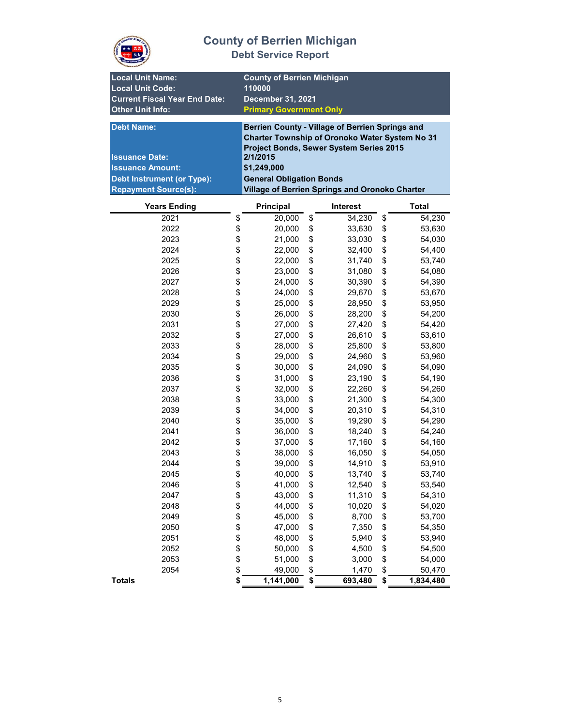

| <b>Local Unit Name:</b><br><b>Local Unit Code:</b><br><b>Current Fiscal Year End Date:</b><br><b>Other Unit Info:</b>                     |                  | <b>County of Berrien Michigan</b><br>110000<br>December 31, 2021<br><b>Primary Government Only</b>                                                                                                                                                           |    |                 |    |              |
|-------------------------------------------------------------------------------------------------------------------------------------------|------------------|--------------------------------------------------------------------------------------------------------------------------------------------------------------------------------------------------------------------------------------------------------------|----|-----------------|----|--------------|
| <b>Debt Name:</b><br><b>Issuance Date:</b><br><b>Issuance Amount:</b><br><b>Debt Instrument (or Type):</b><br><b>Repayment Source(s):</b> |                  | Berrien County - Village of Berrien Springs and<br>Charter Township of Oronoko Water System No 31<br>Project Bonds, Sewer System Series 2015<br>2/1/2015<br>\$1,249,000<br><b>General Obligation Bonds</b><br>Village of Berrien Springs and Oronoko Charter |    |                 |    |              |
| <b>Years Ending</b>                                                                                                                       |                  | Principal                                                                                                                                                                                                                                                    |    | <b>Interest</b> |    | <b>Total</b> |
| 2021                                                                                                                                      | \$               | 20,000                                                                                                                                                                                                                                                       | \$ | 34,230          | \$ | 54,230       |
| 2022                                                                                                                                      |                  | 20,000                                                                                                                                                                                                                                                       | \$ | 33,630          | \$ | 53,630       |
| 2023                                                                                                                                      | \$<br>\$         | 21,000                                                                                                                                                                                                                                                       | \$ | 33,030          | \$ | 54,030       |
| 2024                                                                                                                                      |                  | 22,000                                                                                                                                                                                                                                                       | \$ | 32,400          | \$ | 54,400       |
| 2025                                                                                                                                      | \$\$             | 22,000                                                                                                                                                                                                                                                       | \$ | 31,740          | \$ | 53,740       |
| 2026                                                                                                                                      |                  | 23,000                                                                                                                                                                                                                                                       | \$ | 31,080          | \$ | 54,080       |
| 2027                                                                                                                                      | \$               | 24,000                                                                                                                                                                                                                                                       | \$ | 30,390          | \$ | 54,390       |
| 2028                                                                                                                                      | \$               | 24,000                                                                                                                                                                                                                                                       | \$ | 29,670          | \$ | 53,670       |
| 2029                                                                                                                                      | \$               | 25,000                                                                                                                                                                                                                                                       | \$ | 28,950          | \$ | 53,950       |
| 2030                                                                                                                                      | \$               | 26,000                                                                                                                                                                                                                                                       | \$ | 28,200          | \$ | 54,200       |
| 2031                                                                                                                                      | \$               | 27,000                                                                                                                                                                                                                                                       | \$ | 27,420          | \$ | 54,420       |
| 2032                                                                                                                                      | \$               | 27,000                                                                                                                                                                                                                                                       | \$ | 26,610          | \$ | 53,610       |
| 2033                                                                                                                                      | \$               | 28,000                                                                                                                                                                                                                                                       | \$ | 25,800          | \$ | 53,800       |
| 2034                                                                                                                                      | \$               | 29,000                                                                                                                                                                                                                                                       | \$ | 24,960          | \$ | 53,960       |
| 2035                                                                                                                                      | \$               | 30,000                                                                                                                                                                                                                                                       | \$ | 24,090          | \$ | 54,090       |
| 2036                                                                                                                                      | \$               | 31,000                                                                                                                                                                                                                                                       | \$ | 23,190          | \$ | 54,190       |
| 2037                                                                                                                                      |                  | 32,000                                                                                                                                                                                                                                                       | \$ | 22,260          | \$ | 54,260       |
| 2038                                                                                                                                      |                  | 33,000                                                                                                                                                                                                                                                       | \$ | 21,300          | \$ | 54,300       |
| 2039                                                                                                                                      |                  | 34,000                                                                                                                                                                                                                                                       | \$ | 20,310          | \$ | 54,310       |
| 2040                                                                                                                                      |                  | 35,000                                                                                                                                                                                                                                                       | \$ | 19,290          | \$ | 54,290       |
| 2041                                                                                                                                      |                  | 36,000                                                                                                                                                                                                                                                       | \$ | 18,240          | \$ | 54,240       |
| 2042                                                                                                                                      | <b>888888</b>    | 37,000                                                                                                                                                                                                                                                       | \$ | 17,160          | \$ | 54,160       |
| 2043                                                                                                                                      | \$               | 38,000                                                                                                                                                                                                                                                       | \$ | 16,050          | \$ | 54,050       |
| 2044                                                                                                                                      | \$               | 39,000                                                                                                                                                                                                                                                       | \$ | 14,910          | \$ | 53,910       |
| 2045                                                                                                                                      | \$               | 40,000                                                                                                                                                                                                                                                       | \$ | 13,740          | \$ | 53,740       |
| 2046                                                                                                                                      | \$               | 41,000                                                                                                                                                                                                                                                       | \$ | 12,540          | \$ | 53,540       |
| 2047                                                                                                                                      |                  | 43,000                                                                                                                                                                                                                                                       | \$ | 11,310          | \$ | 54,310       |
| 2048                                                                                                                                      |                  | 44,000                                                                                                                                                                                                                                                       | \$ | 10,020          | \$ | 54,020       |
| 2049                                                                                                                                      |                  | 45,000                                                                                                                                                                                                                                                       | \$ | 8,700           | \$ | 53,700       |
| 2050                                                                                                                                      |                  | 47,000                                                                                                                                                                                                                                                       | \$ | 7,350           | \$ | 54,350       |
| 2051                                                                                                                                      | \$\$\$\$\$\$\$\$ | 48,000                                                                                                                                                                                                                                                       | \$ | 5,940           | \$ | 53,940       |
| 2052                                                                                                                                      |                  | 50,000                                                                                                                                                                                                                                                       | \$ | 4,500           | \$ | 54,500       |
| 2053                                                                                                                                      |                  | 51,000                                                                                                                                                                                                                                                       | \$ | 3,000           | \$ | 54,000       |
| 2054                                                                                                                                      |                  | 49,000                                                                                                                                                                                                                                                       | \$ | 1,470           | \$ | 50,470       |
| <b>Totals</b>                                                                                                                             | \$               | 1,141,000                                                                                                                                                                                                                                                    | \$ | 693,480         | \$ | 1,834,480    |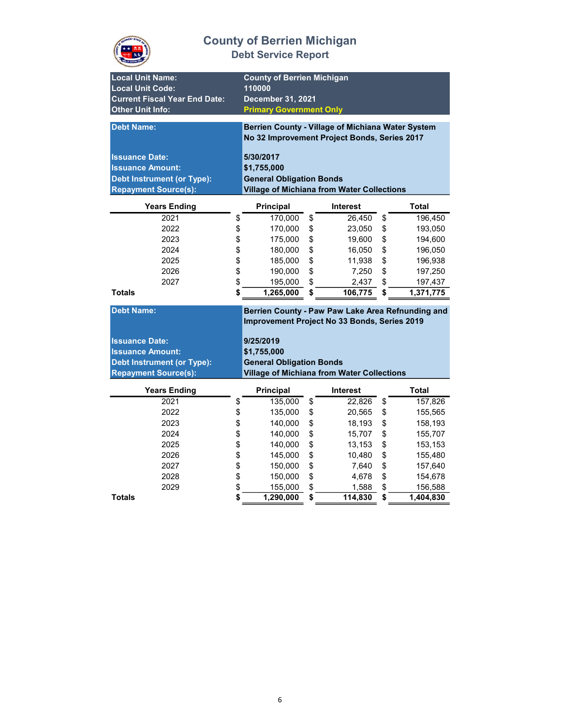

| <b>Local Unit Name:</b><br><b>Local Unit Code:</b><br><b>Current Fiscal Year End Date:</b><br><b>Other Unit Info:</b><br><b>Debt Name:</b><br><b>Issuance Date:</b><br><b>Issuance Amount:</b><br><b>Debt Instrument (or Type):</b> | <b>County of Berrien Michigan</b><br>110000<br>December 31, 2021<br><b>Primary Government Only</b><br>5/30/2017<br>\$1,755,000<br><b>General Obligation Bonds</b> | Berrien County - Village of Michiana Water System<br>No 32 Improvement Project Bonds, Series 2017                                                      |                 |
|-------------------------------------------------------------------------------------------------------------------------------------------------------------------------------------------------------------------------------------|-------------------------------------------------------------------------------------------------------------------------------------------------------------------|--------------------------------------------------------------------------------------------------------------------------------------------------------|-----------------|
| <b>Repayment Source(s):</b>                                                                                                                                                                                                         |                                                                                                                                                                   | <b>Village of Michiana from Water Collections</b>                                                                                                      |                 |
| <b>Years Ending</b>                                                                                                                                                                                                                 | <b>Principal</b>                                                                                                                                                  | <b>Interest</b>                                                                                                                                        | <b>Total</b>    |
| 2021                                                                                                                                                                                                                                | \$<br>170,000                                                                                                                                                     | \$<br>26,450                                                                                                                                           | \$<br>196,450   |
| 2022                                                                                                                                                                                                                                | \$<br>170,000                                                                                                                                                     | \$<br>23,050                                                                                                                                           | \$<br>193,050   |
| 2023                                                                                                                                                                                                                                | \$<br>175,000                                                                                                                                                     | \$<br>19,600                                                                                                                                           | \$<br>194,600   |
| 2024                                                                                                                                                                                                                                | \$<br>180,000                                                                                                                                                     | \$<br>16,050                                                                                                                                           | \$<br>196,050   |
| 2025                                                                                                                                                                                                                                | \$<br>185,000                                                                                                                                                     | \$<br>11,938                                                                                                                                           | \$<br>196,938   |
| 2026                                                                                                                                                                                                                                | \$<br>190,000                                                                                                                                                     | \$<br>7,250                                                                                                                                            | \$<br>197,250   |
| 2027                                                                                                                                                                                                                                | \$<br>195,000                                                                                                                                                     | \$<br>2,437                                                                                                                                            | \$<br>197,437   |
| <b>Totals</b>                                                                                                                                                                                                                       | \$<br>1,265,000                                                                                                                                                   | \$<br>106,775                                                                                                                                          | \$<br>1,371,775 |
| <b>Debt Name:</b><br><b>Issuance Date:</b><br><b>Issuance Amount:</b><br><b>Debt Instrument (or Type):</b><br><b>Repayment Source(s):</b>                                                                                           | 9/25/2019<br>\$1,755,000<br><b>General Obligation Bonds</b>                                                                                                       | Berrien County - Paw Paw Lake Area Refnunding and<br>Improvement Project No 33 Bonds, Series 2019<br><b>Village of Michiana from Water Collections</b> |                 |
| <b>Years Ending</b>                                                                                                                                                                                                                 | Principal                                                                                                                                                         | <b>Interest</b>                                                                                                                                        | <b>Total</b>    |
| 2021                                                                                                                                                                                                                                | \$<br>135,000                                                                                                                                                     | \$<br>22,826                                                                                                                                           | \$<br>157,826   |
| 2022                                                                                                                                                                                                                                | \$<br>135,000                                                                                                                                                     | \$<br>20,565                                                                                                                                           | \$<br>155,565   |
| 2023                                                                                                                                                                                                                                | \$<br>140,000                                                                                                                                                     | \$<br>18,193                                                                                                                                           | \$<br>158,193   |
| 2024                                                                                                                                                                                                                                | \$<br>140,000                                                                                                                                                     | \$<br>15,707                                                                                                                                           | \$<br>155,707   |
| 2025                                                                                                                                                                                                                                | \$<br>140,000                                                                                                                                                     | \$<br>13,153                                                                                                                                           | \$<br>153,153   |
| 2026                                                                                                                                                                                                                                | \$<br>145,000                                                                                                                                                     | \$<br>10,480                                                                                                                                           | \$<br>155,480   |
| 2027                                                                                                                                                                                                                                | \$<br>150,000                                                                                                                                                     | \$<br>7,640                                                                                                                                            | \$<br>157,640   |
| 2028                                                                                                                                                                                                                                | \$<br>150,000                                                                                                                                                     | \$<br>4,678                                                                                                                                            | \$<br>154,678   |
| 2029                                                                                                                                                                                                                                | \$<br>155,000                                                                                                                                                     | \$<br>1,588                                                                                                                                            | \$<br>156,588   |
| <b>Totals</b>                                                                                                                                                                                                                       | \$<br>$\overline{1,}290,000$                                                                                                                                      | \$<br>114,830                                                                                                                                          | \$<br>1,404,830 |